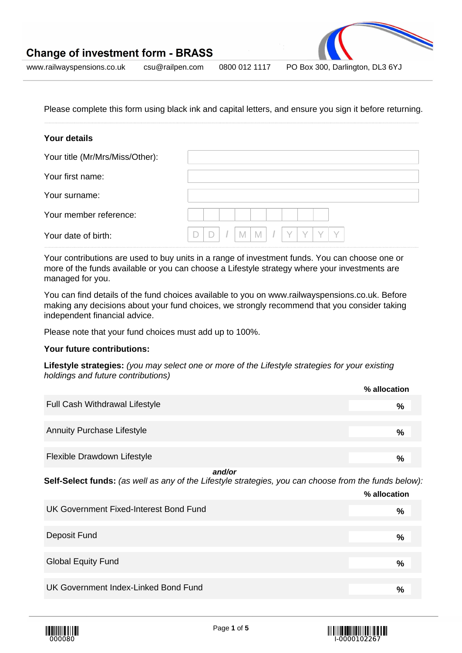

www.railwayspensions.co.uk csu@railpen.com 0800 012 1117 PO Box 300, Darlington, DL3 6YJ

Please complete this form using black ink and capital letters, and ensure you sign it before returning.

## **Your details**

| Your title (Mr/Mrs/Miss/Other): |             |
|---------------------------------|-------------|
| Your first name:                |             |
| Your surname:                   |             |
| Your member reference:          |             |
| Your date of birth:             | M<br>Y<br>M |

Your contributions are used to buy units in a range of investment funds. You can choose one or more of the funds available or you can choose a Lifestyle strategy where your investments are managed for you.

You can find details of the fund choices available to you on www.railwayspensions.co.uk. Before making any decisions about your fund choices, we strongly recommend that you consider taking independent financial advice.

Please note that your fund choices must add up to 100%.

#### **Your future contributions:**

**Lifestyle strategies:** (you may select one or more of the Lifestyle strategies for your existing holdings and future contributions)

|                                                                                                             | % allocation  |
|-------------------------------------------------------------------------------------------------------------|---------------|
| <b>Full Cash Withdrawal Lifestyle</b>                                                                       | %             |
|                                                                                                             |               |
| <b>Annuity Purchase Lifestyle</b>                                                                           | $\frac{0}{0}$ |
|                                                                                                             |               |
| Flexible Drawdown Lifestyle                                                                                 | $\frac{6}{6}$ |
| and/or                                                                                                      |               |
| <b>Salf-Salact funds:</b> (as well as any of the Lifestyle strategies, you can choose from the funds below) |               |

**Self-Select funds:** (as well as any of the Lifestyle strategies, you can choose from the funds below):

|                                        | 70 aliocationi |
|----------------------------------------|----------------|
| UK Government Fixed-Interest Bond Fund | %              |
| Deposit Fund                           | $\frac{9}{6}$  |
| <b>Global Equity Fund</b>              | $\frac{0}{0}$  |
| UK Government Index-Linked Bond Fund   | %              |





**% allocation**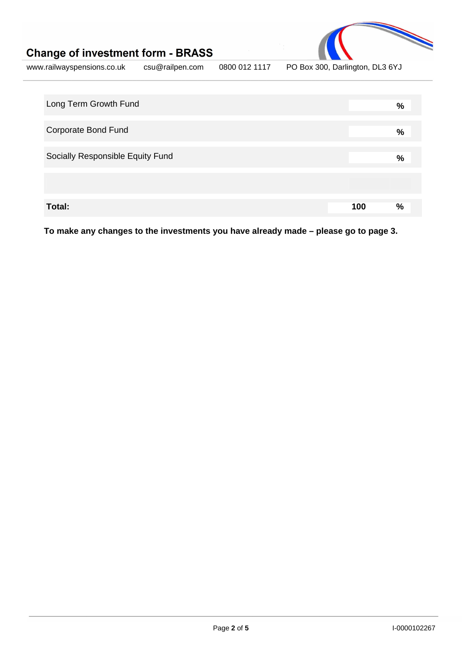

www.railwayspensions.co.uk csu@railpen.com 0800 012 1117 PO Box 300, Darlington, DL3 6YJ

| Long Term Growth Fund            |     | % |
|----------------------------------|-----|---|
| <b>Corporate Bond Fund</b>       |     | % |
| Socially Responsible Equity Fund |     | % |
|                                  |     |   |
| Total:                           | 100 | % |

**To make any changes to the investments you have already made – please go to page 3.**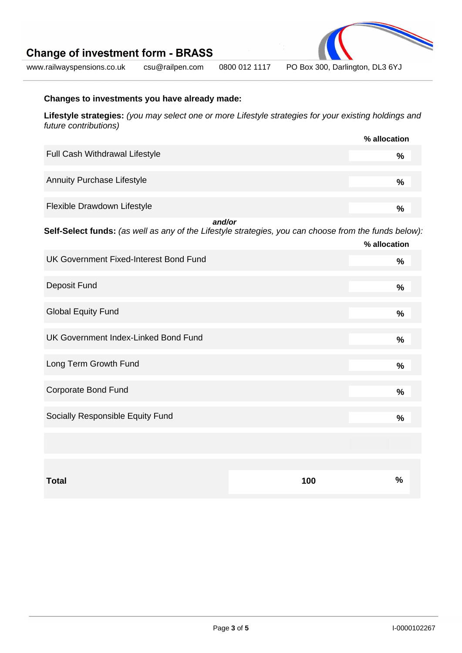

www.railwayspensions.co.uk csu@railpen.com 0800 012 1117 PO Box 300, Darlington, DL3 6YJ

# **Changes to investments you have already made:**

**Lifestyle strategies:** (you may select one or more Lifestyle strategies for your existing holdings and future contributions)

|                                       | % allocation  |
|---------------------------------------|---------------|
| <b>Full Cash Withdrawal Lifestyle</b> | %             |
| <b>Annuity Purchase Lifestyle</b>     | $\frac{9}{6}$ |
| Flexible Drawdown Lifestyle           | $\frac{0}{0}$ |

**and/or Self-Select funds:** (as well as any of the Lifestyle strategies, you can choose from the funds below):

|                                               |     | % allocation  |
|-----------------------------------------------|-----|---------------|
| <b>UK Government Fixed-Interest Bond Fund</b> |     | $\%$          |
| Deposit Fund                                  |     | %             |
| <b>Global Equity Fund</b>                     |     | $\frac{9}{6}$ |
| UK Government Index-Linked Bond Fund          |     | %             |
| Long Term Growth Fund                         |     | $\%$          |
| <b>Corporate Bond Fund</b>                    |     | $\frac{0}{0}$ |
| Socially Responsible Equity Fund              |     | %             |
|                                               |     |               |
|                                               |     |               |
| <b>Total</b>                                  | 100 | $\%$          |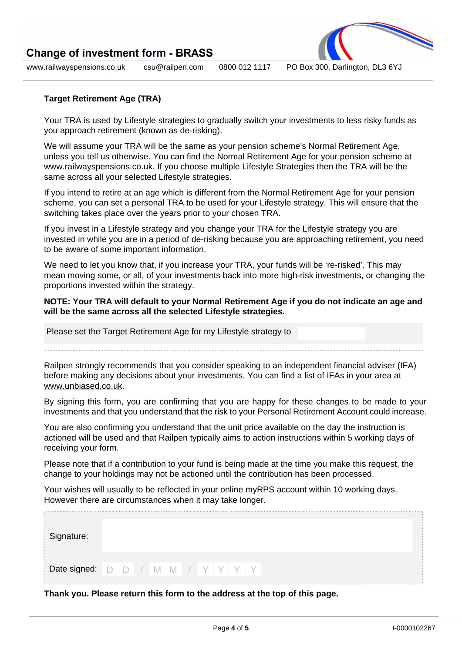

www.railwayspensions.co.uk csu@railpen.com 0800 012 1117 PO Box 300, Darlington, DL3 6YJ

# **Target Retirement Age (TRA)**

Your TRA is used by Lifestyle strategies to gradually switch your investments to less risky funds as you approach retirement (known as de-risking).

We will assume your TRA will be the same as your pension scheme's Normal Retirement Age, unless you tell us otherwise. You can find the Normal Retirement Age for your pension scheme at www.railwayspensions.co.uk. If you choose multiple Lifestyle Strategies then the TRA will be the same across all your selected Lifestyle strategies.

If you intend to retire at an age which is different from the Normal Retirement Age for your pension scheme, you can set a personal TRA to be used for your Lifestyle strategy. This will ensure that the switching takes place over the years prior to your chosen TRA.

If you invest in a Lifestyle strategy and you change your TRA for the Lifestyle strategy you are invested in while you are in a period of de-risking because you are approaching retirement, you need to be aware of some important information.

We need to let you know that, if you increase your TRA, your funds will be 're-risked'. This may mean moving some, or all, of your investments back into more high-risk investments, or changing the proportions invested within the strategy.

**NOTE: Your TRA will default to your Normal Retirement Age if you do not indicate an age and will be the same across all the selected Lifestyle strategies.**

Please set the Target Retirement Age for my Lifestyle strategy to

Railpen strongly recommends that you consider speaking to an independent financial adviser (IFA) before making any decisions about your investments. You can find a list of IFAs in your area at www.unbiased.co.uk.

By signing this form, you are confirming that you are happy for these changes to be made to your investments and that you understand that the risk to your Personal Retirement Account could increase.

You are also confirming you understand that the unit price available on the day the instruction is actioned will be used and that Railpen typically aims to action instructions within 5 working days of receiving your form.

Please note that if a contribution to your fund is being made at the time you make this request, the change to your holdings may not be actioned until the contribution has been processed.

Your wishes will usually to be reflected in your online myRPS account within 10 working days. However there are circumstances when it may take longer.

| Signature:                         |  |  |  |  |  |
|------------------------------------|--|--|--|--|--|
| Date signed: D D / M M / Y Y Y Y Y |  |  |  |  |  |

**Thank you. Please return this form to the address at the top of this page.**